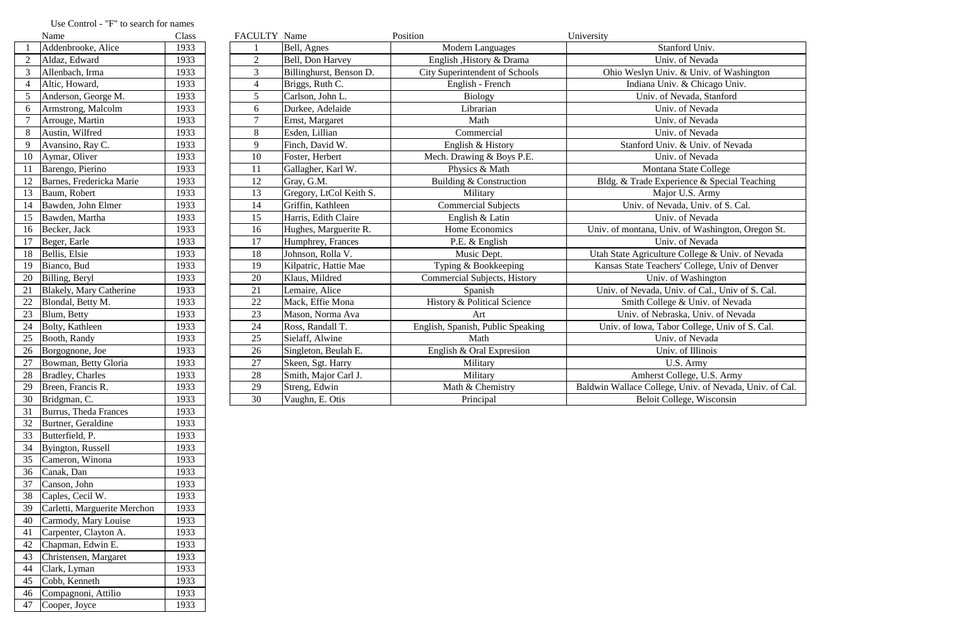|                | Name                           | Class | FACULTY Name    |                         | Position                              | University                                              |
|----------------|--------------------------------|-------|-----------------|-------------------------|---------------------------------------|---------------------------------------------------------|
|                | Addenbrooke, Alice             | 1933  |                 | Bell, Agnes             | <b>Modern Languages</b>               | Stanford Univ.                                          |
|                | Aldaz, Edward                  | 1933  | $\overline{2}$  | Bell, Don Harvey        | English , History & Drama             | Univ. of Nevada                                         |
|                | Allenbach, Irma                | 1933  | $\mathfrak{Z}$  | Billinghurst, Benson D. | <b>City Superintendent of Schools</b> | Ohio Weslyn Univ. & Univ. of Washington                 |
| $\overline{4}$ | Altic, Howard,                 | 1933  | $\overline{4}$  | Briggs, Ruth C.         | English - French                      | Indiana Univ. & Chicago Univ.                           |
|                | Anderson, George M.            | 1933  | $5\overline{)}$ | Carlson, John L.        | <b>Biology</b>                        | Univ. of Nevada, Stanford                               |
| 6              | Armstrong, Malcolm             | 1933  | 6               | Durkee, Adelaide        | Librarian                             | Univ. of Nevada                                         |
|                | Arrouge, Martin                | 1933  | $\overline{7}$  | Ernst, Margaret         | Math                                  | Univ. of Nevada                                         |
|                | Austin, Wilfred                | 1933  | 8               | Esden, Lillian          | Commercial                            | Univ. of Nevada                                         |
|                | Avansino, Ray C.               | 1933  | 9               | Finch, David W.         | English & History                     | Stanford Univ. & Univ. of Nevada                        |
| 10             | Aymar, Oliver                  | 1933  | 10              | Foster, Herbert         | Mech. Drawing & Boys P.E.             | Univ. of Nevada                                         |
|                | Barengo, Pierino               | 1933  | 11              | Gallagher, Karl W.      | Physics & Math                        | Montana State College                                   |
|                | Barnes, Fredericka Marie       | 1933  | 12              | Gray, G.M.              | Building & Construction               | Bldg. & Trade Experience & Special Teaching             |
| 13             | Baum, Robert                   | 1933  | 13              | Gregory, LtCol Keith S. | Military                              | Major U.S. Army                                         |
| 14             | Bawden, John Elmer             | 1933  | 14              | Griffin, Kathleen       | <b>Commercial Subjects</b>            | Univ. of Nevada, Univ. of S. Cal.                       |
| 15             | Bawden, Martha                 | 1933  | 15              | Harris, Edith Claire    | English & Latin                       | Univ. of Nevada                                         |
| 16             | Becker, Jack                   | 1933  | 16              | Hughes, Marguerite R.   | Home Economics                        | Univ. of montana, Univ. of Washington, Oregon St.       |
| 17             | Beger, Earle                   | 1933  | 17              | Humphrey, Frances       | P.E. & English                        | Univ. of Nevada                                         |
| 18             | Bellis, Elsie                  | 1933  | 18              | Johnson, Rolla V.       | Music Dept.                           | Utah State Agriculture College & Univ. of Nevada        |
| 19             | Bianco, Bud                    | 1933  | 19              | Kilpatric, Hattie Mae   | Typing & Bookkeeping                  | Kansas State Teachers' College, Univ of Denver          |
| 20             | Billing, Beryl                 | 1933  | 20              | Klaus, Mildred          | <b>Commercial Subjects, History</b>   | Univ. of Washington                                     |
| 21             | <b>Blakely, Mary Catherine</b> | 1933  | 21              | Lemaire, Alice          | Spanish                               | Univ. of Nevada, Univ. of Cal., Univ of S. Cal.         |
| 22             | Blondal, Betty M.              | 1933  | 22              | Mack, Effie Mona        | History & Political Science           | Smith College & Univ. of Nevada                         |
| 23             | Blum, Betty                    | 1933  | 23              | Mason, Norma Ava        | Art                                   | Univ. of Nebraska, Univ. of Nevada                      |
| 24             | Bolty, Kathleen                | 1933  | 24              | Ross, Randall T.        | English, Spanish, Public Speaking     | Univ. of Iowa, Tabor College, Univ of S. Cal.           |
| 25             | Booth, Randy                   | 1933  | 25              | Sielaff, Alwine         | Math                                  | Univ. of Nevada                                         |
| 26             | Borgognone, Joe                | 1933  | 26              | Singleton, Beulah E.    | English & Oral Expresiion             | Univ. of Illinois                                       |
| 27             | Bowman, Betty Gloria           | 1933  | 27              | Skeen, Sgt. Harry       | Military                              | U.S. Army                                               |
| 28             | Bradley, Charles               | 1933  | 28              | Smith, Major Carl J.    | Military                              | Amherst College, U.S. Army                              |
| 29             | Breen, Francis R.              | 1933  | 29              | Streng, Edwin           | Math & Chemistry                      | Baldwin Wallace College, Univ. of Nevada, Univ. of Cal. |
|                | 30   Bridgman, C.              | 1933  | 30              | Vaughn, E. Otis         | Principal                             | Beloit College, Wisconsin                               |

## Use Control - "F" to search for names<br>Name

|                | inalile                        | Ciass |
|----------------|--------------------------------|-------|
| $\mathbf{1}$   | Addenbrooke, Alice             | 1933  |
| 2              | Aldaz, Edward                  | 1933  |
| 3              | Allenbach, Irma                | 1933  |
| $\overline{4}$ | Altic, Howard,                 | 1933  |
| 5              | Anderson, George M.            | 1933  |
| 6              | Armstrong, Malcolm             | 1933  |
| $\overline{7}$ | Arrouge, Martin                | 1933  |
| 8              | Austin, Wilfred                | 1933  |
| 9              | Avansino, Ray C.               | 1933  |
| 10             | Aymar, Oliver                  | 1933  |
| 11             | Barengo, Pierino               | 1933  |
| 12             | Barnes, Fredericka Marie       | 1933  |
| 13             | Baum, Robert                   | 1933  |
| 14             | Bawden, John Elmer             | 1933  |
| 15             | Bawden, Martha                 | 1933  |
| 16             | Becker, Jack                   | 1933  |
| 17             | Beger, Earle                   | 1933  |
| 18             | Bellis, Elsie                  | 1933  |
| 19             | Bianco, Bud                    | 1933  |
| 20             | Billing, Beryl                 | 1933  |
| 21             | <b>Blakely, Mary Catherine</b> | 1933  |
| 22             | Blondal, Betty M.              | 1933  |
| 23             | Blum, Betty                    | 1933  |
| 24             | Bolty, Kathleen                | 1933  |
| 25             | Booth, Randy                   | 1933  |
| 26             | Borgognone, Joe                | 1933  |
| 27             | Bowman, Betty Gloria           | 1933  |
| 28             | <b>Bradley</b> , Charles       | 1933  |
| 29             | Breen, Francis R.              | 1933  |
| 30             | Bridgman, C.                   | 1933  |
| 31             | Burrus, Theda Frances          | 1933  |
| 32             | Burtner, Geraldine             | 1933  |
| 33             | Butterfield, P.                | 1933  |
| 34             | Byington, Russell              | 1933  |
| 35             | Cameron, Winona                | 1933  |
| 36             | Canak, Dan                     | 1933  |
| 37             | Canson, John                   | 1933  |
| 38             | Caples, Cecil W.               | 1933  |
| 39             | Carletti, Marguerite Merchon   | 1933  |
| 40             | Carmody, Mary Louise           | 1933  |
| 41             | Carpenter, Clayton A.          | 1933  |
| 42             | Chapman, Edwin E.              | 1933  |
| 43             | Christensen, Margaret          | 1933  |
| 44             | Clark, Lyman                   | 1933  |
| 45             | Cobb, Kenneth                  | 1933  |
| 46             | Compagnoni, Attilio            | 1933  |
| 47             | Cooper, Joyce                  | 1933  |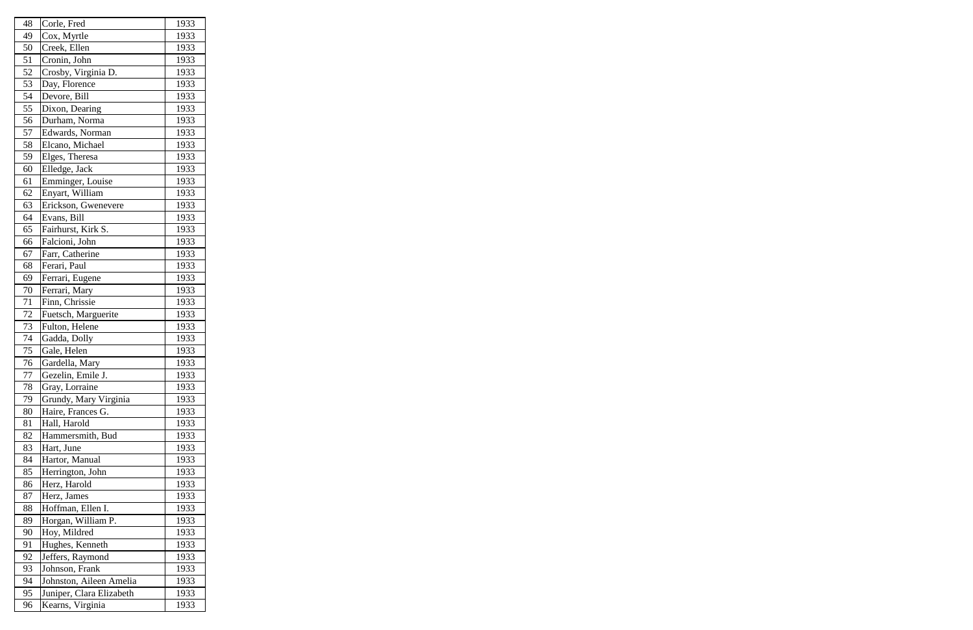| 48 | Corle, Fred              | 1933 |
|----|--------------------------|------|
| 49 | Cox, Myrtle              | 1933 |
| 50 | Creek, Ellen             | 1933 |
| 51 | Cronin, John             | 1933 |
| 52 | Crosby, Virginia D.      | 1933 |
| 53 | Day, Florence            | 1933 |
| 54 | Devore, Bill             | 1933 |
| 55 | Dixon, Dearing           | 1933 |
| 56 | Durham, Norma            | 1933 |
| 57 | Edwards, Norman          | 1933 |
| 58 | Elcano, Michael          | 1933 |
| 59 | Elges, Theresa           | 1933 |
| 60 | Elledge, Jack            | 1933 |
| 61 | Emminger, Louise         | 1933 |
| 62 | Enyart, William          | 1933 |
| 63 | Erickson, Gwenevere      | 1933 |
| 64 | Evans, Bill              | 1933 |
| 65 | Fairhurst, Kirk S.       | 1933 |
| 66 | Falcioni, John           | 1933 |
| 67 | Farr, Catherine          | 1933 |
| 68 | Ferari, Paul             | 1933 |
| 69 | Ferrari, Eugene          | 1933 |
| 70 | Ferrari, Mary            | 1933 |
| 71 | Finn, Chrissie           | 1933 |
| 72 | Fuetsch, Marguerite      | 1933 |
| 73 | Fulton, Helene           | 1933 |
| 74 | Gadda, Dolly             | 1933 |
| 75 | Gale, Helen              | 1933 |
| 76 | Gardella, Mary           | 1933 |
| 77 | Gezelin, Emile J.        | 1933 |
| 78 | Gray, Lorraine           | 1933 |
| 79 | Grundy, Mary Virginia    | 1933 |
| 80 | Haire, Frances G.        | 1933 |
| 81 | Hall, Harold             | 1933 |
| 82 | Hammersmith, Bud         | 1933 |
| 83 | Hart, June               | 1933 |
| 84 | Hartor, Manual           | 1933 |
| 85 | Herrington, John         | 1933 |
| 86 | Herz, Harold             | 1933 |
| 87 | Herz, James              | 1933 |
| 88 | Hoffman, Ellen I.        | 1933 |
| 89 | Horgan, William P.       | 1933 |
| 90 | Hoy, Mildred             | 1933 |
| 91 | Hughes, Kenneth          | 1933 |
| 92 | Jeffers, Raymond         | 1933 |
| 93 | Johnson, Frank           | 1933 |
| 94 | Johnston, Aileen Amelia  | 1933 |
| 95 | Juniper, Clara Elizabeth | 1933 |
| 96 | Kearns, Virginia         | 1933 |
|    |                          |      |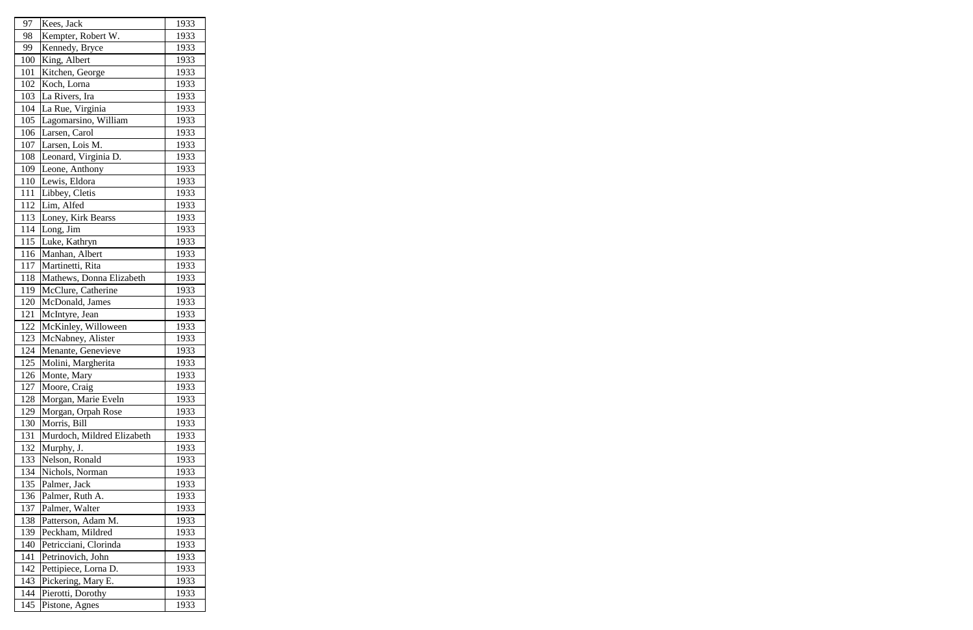| 97  | Kees, Jack                 | 1933 |
|-----|----------------------------|------|
| 98  | Kempter, Robert W.         | 1933 |
| 99  | Kennedy, Bryce             | 1933 |
| 100 | King, Albert               | 1933 |
| 101 | Kitchen, George            | 1933 |
| 102 | Koch, Lorna                | 1933 |
| 103 | La Rivers, Ira             | 1933 |
| 104 | La Rue, Virginia           | 1933 |
| 105 | Lagomarsino, William       | 1933 |
| 106 | Larsen, Carol              | 1933 |
| 107 | Larsen, Lois M.            | 1933 |
| 108 | Leonard, Virginia D.       | 1933 |
| 109 | Leone, Anthony             | 1933 |
| 110 | Lewis, Eldora              | 1933 |
| 111 | Libbey, Cletis             | 1933 |
| 112 | Lim, Alfed                 | 1933 |
| 113 | Loney, Kirk Bearss         | 1933 |
| 114 | Long, Jim                  | 1933 |
| 115 | Luke, Kathryn              | 1933 |
| 116 | Manhan, Albert             | 1933 |
| 117 | Martinetti, Rita           | 1933 |
| 118 | Mathews, Donna Elizabeth   | 1933 |
| 119 | McClure, Catherine         | 1933 |
| 120 | McDonald, James            | 1933 |
| 121 | McIntyre, Jean             | 1933 |
| 122 | McKinley, Willoween        | 1933 |
| 123 | McNabney, Alister          | 1933 |
| 124 | Menante, Genevieve         | 1933 |
| 125 | Molini, Margherita         | 1933 |
| 126 | Monte, Mary                | 1933 |
| 127 | Moore, Craig               | 1933 |
| 128 | Morgan, Marie Eveln        | 1933 |
| 129 | Morgan, Orpah Rose         | 1933 |
| 130 | Morris, Bill               | 1933 |
| 131 | Murdoch, Mildred Elizabeth | 1933 |
| 132 | Murphy, J.                 | 1933 |
| 133 | Nelson, Ronald             | 1933 |
| 134 | Nichols, Norman            | 1933 |
| 135 | Palmer, Jack               | 1933 |
| 136 | Palmer, Ruth A.            | 1933 |
| 137 | Palmer, Walter             | 1933 |
| 138 | Patterson, Adam M.         | 1933 |
| 139 | Peckham, Mildred           | 1933 |
| 140 | Petricciani, Clorinda      | 1933 |
| 141 | Petrinovich, John          | 1933 |
| 142 | Pettipiece, Lorna D.       | 1933 |
| 143 | Pickering, Mary E.         | 1933 |
| 144 | Pierotti, Dorothy          | 1933 |
| 145 | Pistone, Agnes             | 1933 |